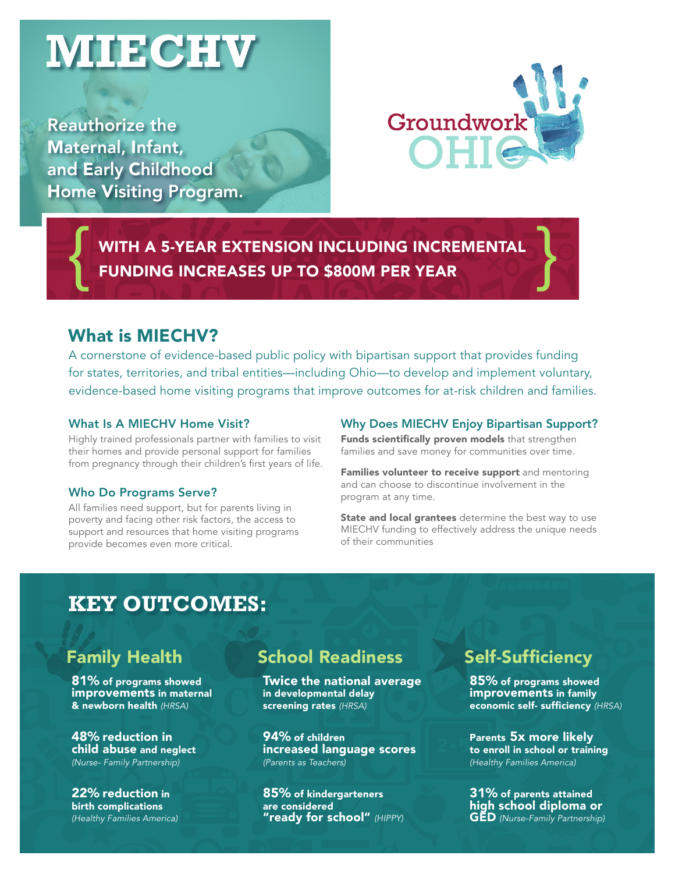# **MIECHV**

Reauthorize the Maternal, Infant, and Early Childhood Home Visiting Program.



WITH A 5-YEAR EXTENSION INCLUDING INCREMENTAL<br>FUNDING INCREASES UP TO \$800M PER YEAR

#### What is MIECHV?

A cornerstone of evidence-based public policy with bipartisan support that provides funding for states, territories, and tribal entities—including Ohio—to develop and implement voluntary, evidence-based home visiting programs that improve outcomes for at-risk children and families.

#### What Is A MIECHV Home Visit?

Highly trained professionals partner with families to visit their homes and provide personal support for families from pregnancy through their children's first years of life.

#### Who Do Programs Serve?

All families need support, but for parents living in poverty and facing other risk factors, the access to support and resources that home visiting programs provide becomes even more critical.

#### Why Does MIECHV Enjoy Bipartisan Support?

Funds scientifically proven models that strengthen families and save money for communities over time.

Families volunteer to receive support and mentoring and can choose to discontinue involvement in the program at any time.

State and local grantees determine the best way to use MIECHV funding to effectively address the unique needs of their communities

## **KEY OUTCOMES:**

## Family Health

81% of programs showed improvements in maternal & newborn health *(HRSA)*

48% reduction in child abuse and neglect *(Nurse- Family Partnership)*

22% reduction in birth complications *(Healthy Families America)*

### School Readiness

Twice the national average in developmental delay screening rates *(HRSA)*

94% of children increased language scores *(Parents as Teachers)*

85% of kindergarteners are considered "ready for school" *(HIPPY)*

## Self-Sufficiency

85% of programs showed improvements in family economic self- sufficiency *(HRSA)*

Parents 5x more likely to enroll in school or training *(Healthy Families America)*

31% of parents attained high school diploma or GED *(Nurse-Family Partnership)*